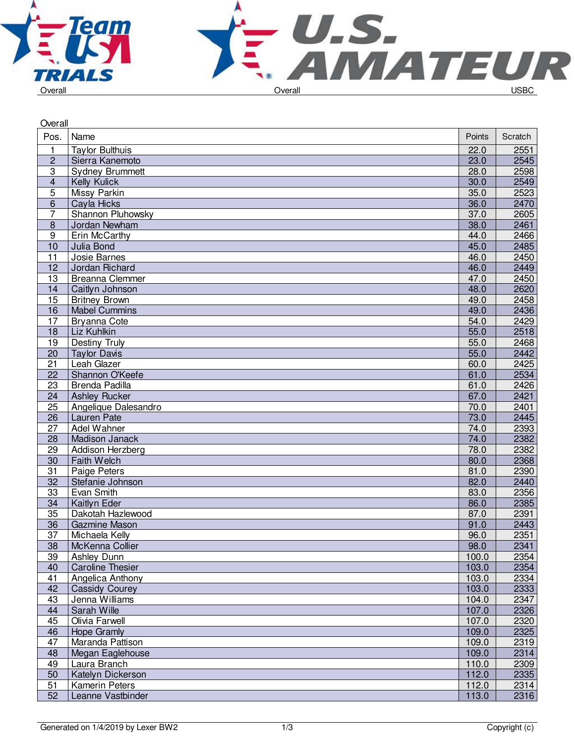



| Overall         |                         |        |         |
|-----------------|-------------------------|--------|---------|
| Pos.            | Name                    | Points | Scratch |
| 1               | <b>Taylor Bulthuis</b>  | 22.0   | 2551    |
| $\overline{c}$  | Sierra Kanemoto         | 23.0   | 2545    |
| 3               | <b>Sydney Brummett</b>  | 28.0   | 2598    |
| 4               | Kelly Kulick            | 30.0   | 2549    |
| 5               | Missy Parkin            | 35.0   | 2523    |
| 6               | Cayla Hicks             | 36.0   | 2470    |
| 7               | Shannon Pluhowsky       | 37.0   | 2605    |
| $\overline{8}$  | Jordan Newham           | 38.0   | 2461    |
| $\overline{9}$  | Erin McCarthy           | 44.0   | 2466    |
| 10              | Julia Bond              | 45.0   | 2485    |
| 11              | Josie Barnes            | 46.0   | 2450    |
| 12              | Jordan Richard          | 46.0   | 2449    |
| 13              | <b>Breanna Clemmer</b>  | 47.0   | 2450    |
| 14              | Caitlyn Johnson         | 48.0   | 2620    |
| 15              | <b>Britney Brown</b>    | 49.0   | 2458    |
| 16              | <b>Mabel Cummins</b>    | 49.0   | 2436    |
| 17              | <b>Bryanna Cote</b>     | 54.0   | 2429    |
| 18              | Liz Kuhlkin             | 55.0   | 2518    |
| 19              | <b>Destiny Truly</b>    | 55.0   | 2468    |
| 20              | <b>Taylor Davis</b>     | 55.0   | 2442    |
| 21              | Leah Glazer             | 60.0   | 2425    |
| 22              | Shannon O'Keefe         | 61.0   | 2534    |
| 23              | Brenda Padilla          | 61.0   | 2426    |
| 24              | <b>Ashley Rucker</b>    | 67.0   | 2421    |
| $\overline{25}$ | Angelique Dalesandro    | 70.0   | 2401    |
| 26              | Lauren Pate             | 73.0   | 2445    |
| 27              | Adel Wahner             | 74.0   | 2393    |
| 28              | Madison Janack          | 74.0   | 2382    |
| 29              | Addison Herzberg        | 78.0   | 2382    |
| 30              | <b>Faith Welch</b>      | 80.0   | 2368    |
| 31              | Paige Peters            | 81.0   | 2390    |
| 32              | Stefanie Johnson        | 82.0   | 2440    |
| 33              | Evan Smith              | 83.0   | 2356    |
| 34              | Kaitlyn Eder            | 86.0   | 2385    |
| $\overline{35}$ | Dakotah Hazlewood       | 87.0   | 2391    |
| 36              | Gazmine Mason           | 91.0   | 2443    |
| $\overline{37}$ | Michaela Kelly          | 96.0   | 2351    |
| 38              | McKenna Collier         | 98.0   | 2341    |
| 39              | Ashley Dunn             | 100.0  | 2354    |
| 40              | <b>Caroline Thesier</b> | 103.0  | 2354    |
| 41              | Angelica Anthony        | 103.0  | 2334    |
| 42              | <b>Cassidy Courey</b>   | 103.0  | 2333    |
| 43              | Jenna Williams          | 104.0  | 2347    |
| 44              | Sarah Wille             | 107.0  | 2326    |
| 45              | Olivia Farwell          | 107.0  | 2320    |
| 46              | <b>Hope Gramly</b>      | 109.0  | 2325    |
| 47              | Maranda Pattison        | 109.0  | 2319    |
| 48              | Megan Eaglehouse        | 109.0  | 2314    |
| 49              | Laura Branch            | 110.0  | 2309    |
| 50              | Katelyn Dickerson       | 112.0  | 2335    |
| 51              | <b>Kamerin Peters</b>   | 112.0  | 2314    |
| 52              | Leanne Vastbinder       | 113.0  | 2316    |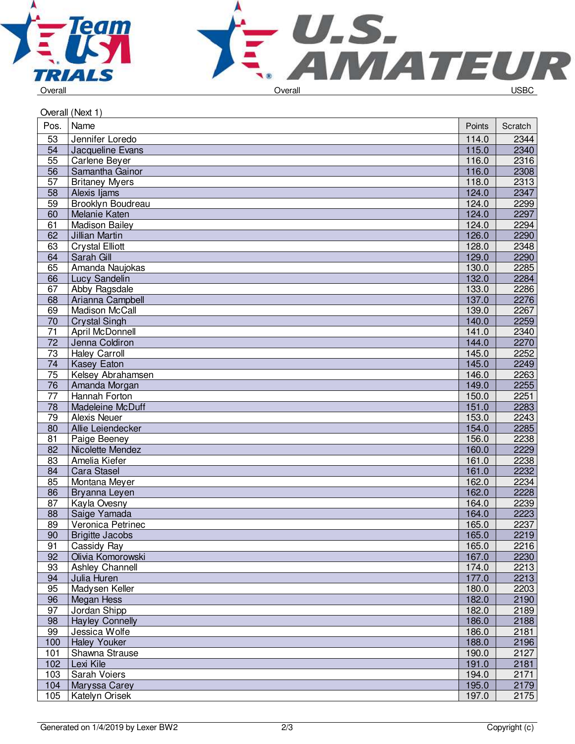



| Overall (Next 1) |                        |        |         |  |  |  |  |
|------------------|------------------------|--------|---------|--|--|--|--|
| Pos.             | Name                   | Points | Scratch |  |  |  |  |
| 53               | Jennifer Loredo        | 114.0  | 2344    |  |  |  |  |
| 54               | Jacqueline Evans       | 115.0  | 2340    |  |  |  |  |
| 55               | Carlene Bever          | 116.0  | 2316    |  |  |  |  |
| 56               | Samantha Gainor        | 116.0  | 2308    |  |  |  |  |
| 57               | <b>Britaney Myers</b>  | 118.0  | 2313    |  |  |  |  |
| 58               | Alexis Ijams           | 124.0  | 2347    |  |  |  |  |
| 59               | Brooklyn Boudreau      | 124.0  | 2299    |  |  |  |  |
| 60               | Melanie Katen          | 124.0  | 2297    |  |  |  |  |
| 61               | <b>Madison Bailey</b>  | 124.0  | 2294    |  |  |  |  |
| 62               | Jillian Martin         | 126.0  | 2290    |  |  |  |  |
| 63               | <b>Crystal Elliott</b> | 128.0  | 2348    |  |  |  |  |
| 64               | Sarah Gill             | 129.0  | 2290    |  |  |  |  |
| 65               | Amanda Naujokas        | 130.0  | 2285    |  |  |  |  |
| 66               | Lucy Sandelin          | 132.0  | 2284    |  |  |  |  |
| 67               | Abby Ragsdale          | 133.0  | 2286    |  |  |  |  |
| 68               | Arianna Campbell       | 137.0  | 2276    |  |  |  |  |
| 69               | Madison McCall         | 139.0  | 2267    |  |  |  |  |
| 70               | <b>Crystal Singh</b>   | 140.0  | 2259    |  |  |  |  |
| 71               | April McDonnell        | 141.0  | 2340    |  |  |  |  |
| 72               | Jenna Coldiron         | 144.0  | 2270    |  |  |  |  |
| 73               | <b>Haley Carroll</b>   | 145.0  | 2252    |  |  |  |  |
| 74               | Kasey Eaton            | 145.0  | 2249    |  |  |  |  |
| 75               | Kelsey Abrahamsen      | 146.0  | 2263    |  |  |  |  |
| 76               | Amanda Morgan          | 149.0  | 2255    |  |  |  |  |
| 77               | Hannah Forton          | 150.0  | 2251    |  |  |  |  |
| $\overline{78}$  | Madeleine McDuff       | 151.0  | 2283    |  |  |  |  |
| 79               | <b>Alexis Neuer</b>    | 153.0  | 2243    |  |  |  |  |
| 80               | Allie Leiendecker      | 154.0  | 2285    |  |  |  |  |
| 81               | Paige Beeney           | 156.0  | 2238    |  |  |  |  |
| 82               | Nicolette Mendez       | 160.0  | 2229    |  |  |  |  |
| 83               | Amelia Kiefer          | 161.0  | 2238    |  |  |  |  |
| 84               | Cara Stasel            | 161.0  | 2232    |  |  |  |  |
| 85               | Montana Meyer          | 162.0  | 2234    |  |  |  |  |
| 86               | Bryanna Leyen          | 162.0  | 2228    |  |  |  |  |
| 87               | Kayla Ovesny           | 164.0  | 2239    |  |  |  |  |
| 88               | Saige Yamada           | 164.0  | 2223    |  |  |  |  |
| 89               | Veronica Petrinec      | 165.0  | 2237    |  |  |  |  |
| 90               | <b>Brigitte Jacobs</b> | 165.0  | 2219    |  |  |  |  |
| 91               | Cassidy Ray            | 165.0  | 2216    |  |  |  |  |
| 92               | Olivia Komorowski      | 167.0  | 2230    |  |  |  |  |
| 93               | Ashley Channell        | 174.0  | 2213    |  |  |  |  |
| 94               | Julia Huren            | 177.0  | 2213    |  |  |  |  |
| 95               | Madysen Keller         | 180.0  | 2203    |  |  |  |  |
| 96               | Megan Hess             | 182.0  | 2190    |  |  |  |  |
| 97               | Jordan Shipp           | 182.0  | 2189    |  |  |  |  |
| 98               | <b>Hayley Connelly</b> | 186.0  | 2188    |  |  |  |  |
| 99               | Jessica Wolfe          | 186.0  | 2181    |  |  |  |  |
| 100              | <b>Haley Youker</b>    | 188.0  | 2196    |  |  |  |  |
| 101              | Shawna Strause         | 190.0  | 2127    |  |  |  |  |
| 102              | Lexi Kile              | 191.0  | 2181    |  |  |  |  |
| 103              | Sarah Voiers           | 194.0  | 2171    |  |  |  |  |
| 104              | Maryssa Carey          | 195.0  | 2179    |  |  |  |  |
| 105              | Katelyn Orisek         | 197.0  | 2175    |  |  |  |  |